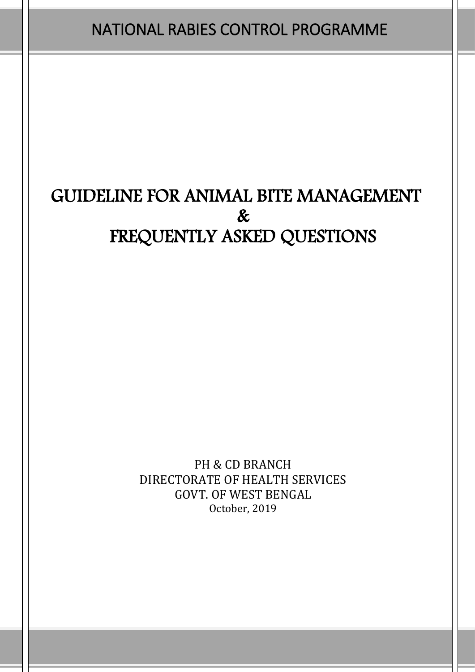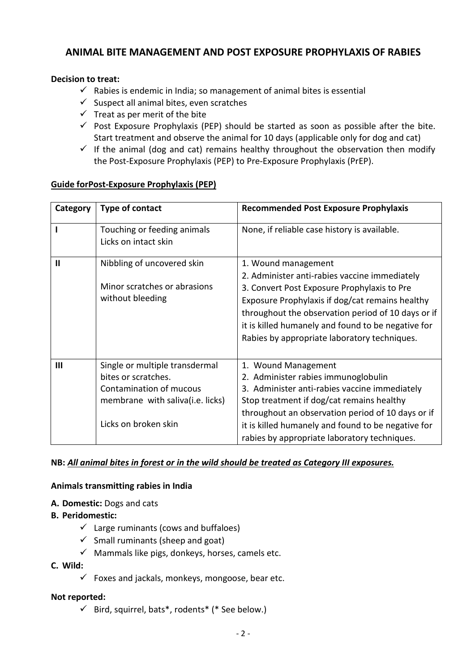# **ANIMAL BITE MANAGEMENT AND POST EXPOSURE PROPHYLAXIS OF RABIES**

### **Decision to treat:**

- $\checkmark$  Rabies is endemic in India; so management of animal bites is essential
- $\checkmark$  Suspect all animal bites, even scratches
- $\checkmark$  Treat as per merit of the bite
- $\checkmark$  Post Exposure Prophylaxis (PEP) should be started as soon as possible after the bite. Start treatment and observe the animal for 10 days (applicable only for dog and cat)
- $\checkmark$  If the animal (dog and cat) remains healthy throughout the observation then modify the Post-Exposure Prophylaxis (PEP) to Pre-Exposure Prophylaxis (PrEP).

#### **Guide forPost-Exposure Prophylaxis (PEP)**

| Category | <b>Type of contact</b>                                                                                                                       | <b>Recommended Post Exposure Prophylaxis</b>                                                                                                                                                                                                                                                                                       |
|----------|----------------------------------------------------------------------------------------------------------------------------------------------|------------------------------------------------------------------------------------------------------------------------------------------------------------------------------------------------------------------------------------------------------------------------------------------------------------------------------------|
|          | Touching or feeding animals<br>Licks on intact skin                                                                                          | None, if reliable case history is available.                                                                                                                                                                                                                                                                                       |
| Ш        | Nibbling of uncovered skin<br>Minor scratches or abrasions<br>without bleeding                                                               | 1. Wound management<br>2. Administer anti-rabies vaccine immediately<br>3. Convert Post Exposure Prophylaxis to Pre<br>Exposure Prophylaxis if dog/cat remains healthy<br>throughout the observation period of 10 days or if<br>it is killed humanely and found to be negative for<br>Rabies by appropriate laboratory techniques. |
| Ш        | Single or multiple transdermal<br>bites or scratches.<br>Contamination of mucous<br>membrane with saliva(i.e. licks)<br>Licks on broken skin | 1. Wound Management<br>2. Administer rabies immunoglobulin<br>3. Administer anti-rabies vaccine immediately<br>Stop treatment if dog/cat remains healthy<br>throughout an observation period of 10 days or if<br>it is killed humanely and found to be negative for<br>rabies by appropriate laboratory techniques.                |

#### **NB:** *All animal bites in forest or in the wild should be treated as Category III exposures.*

#### **Animals transmitting rabies in India**

- **A. Domestic:** Dogs and cats
- **B. Peridomestic:**
	- $\checkmark$  Large ruminants (cows and buffaloes)
	- $\checkmark$  Small ruminants (sheep and goat)
	- $\checkmark$  Mammals like pigs, donkeys, horses, camels etc.

#### **C. Wild:**

 $\checkmark$  Foxes and jackals, monkeys, mongoose, bear etc.

#### **Not reported:**

 $\checkmark$  Bird, squirrel, bats\*, rodents\* (\* See below.)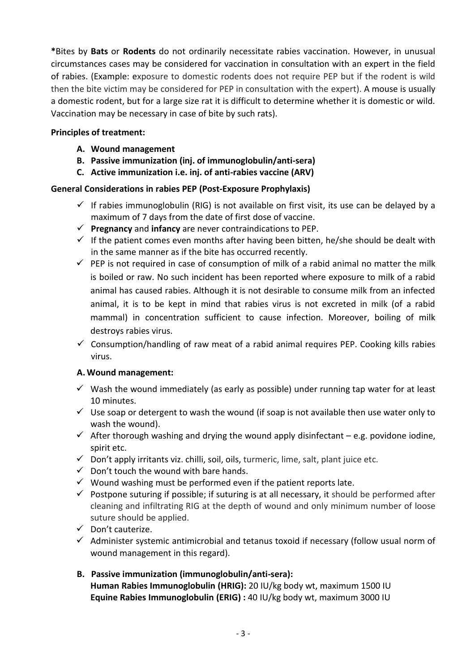**\***Bites by **Bats** or **Rodents** do not ordinarily necessitate rabies vaccination. However, in unusual circumstances cases may be considered for vaccination in consultation with an expert in the field of rabies. (Example: exposure to domestic rodents does not require PEP but if the rodent is wild then the bite victim may be considered for PEP in consultation with the expert). A mouse is usually a domestic rodent, but for a large size rat it is difficult to determine whether it is domestic or wild. Vaccination may be necessary in case of bite by such rats).

### **Principles of treatment:**

- **A. Wound management**
- **B. Passive immunization (inj. of immunoglobulin/anti-sera)**
- **C. Active immunization i.e. inj. of anti-rabies vaccine (ARV)**

## **General Considerations in rabies PEP (Post-Exposure Prophylaxis)**

- $\checkmark$  If rabies immunoglobulin (RIG) is not available on first visit, its use can be delayed by a maximum of 7 days from the date of first dose of vaccine.
- **Pregnancy** and **infancy** are never contraindications to PEP.
- If the patient comes even months after having been bitten, he/she should be dealt with in the same manner as if the bite has occurred recently.
- $\checkmark$  PEP is not required in case of consumption of milk of a rabid animal no matter the milk is boiled or raw. No such incident has been reported where exposure to milk of a rabid animal has caused rabies. Although it is not desirable to consume milk from an infected animal, it is to be kept in mind that rabies virus is not excreted in milk (of a rabid mammal) in concentration sufficient to cause infection. Moreover, boiling of milk destroys rabies virus.
- $\checkmark$  Consumption/handling of raw meat of a rabid animal requires PEP. Cooking kills rabies virus.

## **A. Wound management:**

- $\checkmark$  Wash the wound immediately (as early as possible) under running tap water for at least 10 minutes.
- $\checkmark$  Use soap or detergent to wash the wound (if soap is not available then use water only to wash the wound).
- $\checkmark$  After thorough washing and drying the wound apply disinfectant e.g. povidone iodine, spirit etc.
- $\checkmark$  Don't apply irritants viz. chilli, soil, oils, turmeric, lime, salt, plant juice etc.
- $\checkmark$  Don't touch the wound with bare hands.
- $\checkmark$  Wound washing must be performed even if the patient reports late.
- $\checkmark$  Postpone suturing if possible; if suturing is at all necessary, it should be performed after cleaning and infiltrating RIG at the depth of wound and only minimum number of loose suture should be applied.
- $\checkmark$  Don't cauterize.
- $\checkmark$  Administer systemic antimicrobial and tetanus toxoid if necessary (follow usual norm of wound management in this regard).

## **B. Passive immunization (immunoglobulin/anti-sera): Human Rabies Immunoglobulin (HRIG):** 20 IU/kg body wt, maximum 1500 IU **Equine Rabies Immunoglobulin (ERIG) :** 40 IU/kg body wt, maximum 3000 IU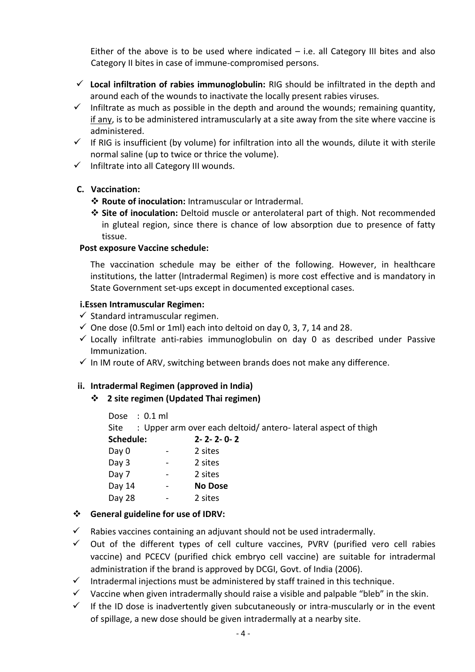Either of the above is to be used where indicated  $-$  i.e. all Category III bites and also Category II bites in case of immune-compromised persons.

- **Local infiltration of rabies immunoglobulin:** RIG should be infiltrated in the depth and around each of the wounds to inactivate the locally present rabies viruses.
- $\checkmark$  Infiltrate as much as possible in the depth and around the wounds; remaining quantity, if any, is to be administered intramuscularly at a site away from the site where vaccine is administered.
- $\checkmark$  If RIG is insufficient (by volume) for infiltration into all the wounds, dilute it with sterile normal saline (up to twice or thrice the volume).
- $\checkmark$  Infiltrate into all Category III wounds.

### **C. Vaccination:**

- **Route of inoculation:** Intramuscular or Intradermal.
- **Site of inoculation:** Deltoid muscle or anterolateral part of thigh. Not recommended in gluteal region, since there is chance of low absorption due to presence of fatty tissue.

#### **Post exposure Vaccine schedule:**

The vaccination schedule may be either of the following. However, in healthcare institutions, the latter (Intradermal Regimen) is more cost effective and is mandatory in State Government set-ups except in documented exceptional cases.

#### **i.Essen Intramuscular Regimen:**

- $\checkmark$  Standard intramuscular regimen.
- $\checkmark$  One dose (0.5ml or 1ml) each into deltoid on day 0, 3, 7, 14 and 28.
- $\checkmark$  Locally infiltrate anti-rabies immunoglobulin on day 0 as described under Passive Immunization.
- $\checkmark$  In IM route of ARV, switching between brands does not make any difference.

## **ii. Intradermal Regimen (approved in India)**

**2 site regimen (Updated Thai regimen)**

Dose : 0.1 ml Site : Upper arm over each deltoid/antero-lateral aspect of thigh **Schedule: 2- 2- 2- 0- 2** Day 0 - 2 sites Day 3 - 2 sites Day 7 - 2 sites Day 14 - **No Dose** Day 28 - 2 sites

## **General guideline for use of IDRV:**

- $\checkmark$  Rabies vaccines containing an adjuvant should not be used intradermally.
- $\checkmark$  Out of the different types of cell culture vaccines, PVRV (purified vero cell rabies vaccine) and PCECV (purified chick embryo cell vaccine) are suitable for intradermal administration if the brand is approved by DCGI, Govt. of India (2006).
- $\checkmark$  Intradermal injections must be administered by staff trained in this technique.
- $\checkmark$  Vaccine when given intradermally should raise a visible and palpable "bleb" in the skin.
- $\checkmark$  If the ID dose is inadvertently given subcutaneously or intra-muscularly or in the event of spillage, a new dose should be given intradermally at a nearby site.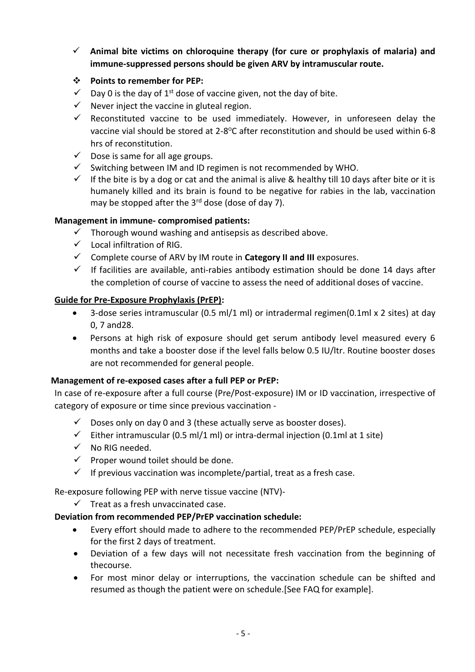- **Animal bite victims on chloroquine therapy (for cure or prophylaxis of malaria) and immune-suppressed persons should be given ARV by intramuscular route.**
- **Points to remember for PEP:**
- $\checkmark$  Day 0 is the day of 1<sup>st</sup> dose of vaccine given, not the day of bite.
- $\checkmark$  Never inject the vaccine in gluteal region.
- $\checkmark$  Reconstituted vaccine to be used immediately. However, in unforeseen delay the vaccine vial should be stored at 2-8°C after reconstitution and should be used within 6-8 hrs of reconstitution.
- $\checkmark$  Dose is same for all age groups.
- $\checkmark$  Switching between IM and ID regimen is not recommended by WHO.
- If the bite is by a dog or cat and the animal is alive & healthy till 10 days after bite or it is humanely killed and its brain is found to be negative for rabies in the lab, vaccination may be stopped after the  $3<sup>rd</sup>$  dose (dose of day 7).

#### **Management in immune- compromised patients:**

- $\checkmark$  Thorough wound washing and antisepsis as described above.
- $\checkmark$  Local infiltration of RIG.
- Complete course of ARV by IM route in **Category II and III** exposures.
- $\checkmark$  If facilities are available, anti-rabies antibody estimation should be done 14 days after the completion of course of vaccine to assess the need of additional doses of vaccine.

#### **Guide for Pre-Exposure Prophylaxis (PrEP):**

- 3-dose series intramuscular (0.5 ml/1 ml) or intradermal regimen(0.1ml x 2 sites) at day 0, 7 and28.
- Persons at high risk of exposure should get serum antibody level measured every 6 months and take a booster dose if the level falls below 0.5 IU/ltr. Routine booster doses are not recommended for general people.

#### **Management of re-exposed cases after a full PEP or PrEP:**

In case of re-exposure after a full course (Pre/Post-exposure) IM or ID vaccination, irrespective of category of exposure or time since previous vaccination -

- $\checkmark$  Doses only on day 0 and 3 (these actually serve as booster doses).
- $\checkmark$  Either intramuscular (0.5 ml/1 ml) or intra-dermal injection (0.1ml at 1 site)
- $\checkmark$  No RIG needed.
- $\checkmark$  Proper wound toilet should be done.
- $\checkmark$  If previous vaccination was incomplete/partial, treat as a fresh case.

Re-exposure following PEP with nerve tissue vaccine (NTV)-

 $\checkmark$  Treat as a fresh unvaccinated case.

#### **Deviation from recommended PEP/PrEP vaccination schedule:**

- Every effort should made to adhere to the recommended PEP/PrEP schedule, especially for the first 2 days of treatment.
- Deviation of a few days will not necessitate fresh vaccination from the beginning of thecourse.
- For most minor delay or interruptions, the vaccination schedule can be shifted and resumed as though the patient were on schedule.[See FAQ for example].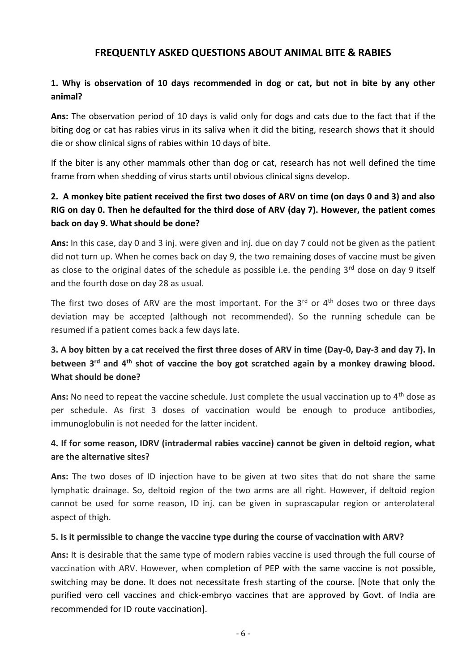## **FREQUENTLY ASKED QUESTIONS ABOUT ANIMAL BITE & RABIES**

## **1. Why is observation of 10 days recommended in dog or cat, but not in bite by any other animal?**

**Ans:** The observation period of 10 days is valid only for dogs and cats due to the fact that if the biting dog or cat has rabies virus in its saliva when it did the biting, research shows that it should die or show clinical signs of rabies within 10 days of bite.

If the biter is any other mammals other than dog or cat, research has not well defined the time frame from when shedding of virus starts until obvious clinical signs develop.

# **2. A monkey bite patient received the first two doses of ARV on time (on days 0 and 3) and also RIG on day 0. Then he defaulted for the third dose of ARV (day 7). However, the patient comes back on day 9. What should be done?**

**Ans:** In this case, day 0 and 3 inj. were given and inj. due on day 7 could not be given as the patient did not turn up. When he comes back on day 9, the two remaining doses of vaccine must be given as close to the original dates of the schedule as possible i.e. the pending  $3<sup>rd</sup>$  dose on day 9 itself and the fourth dose on day 28 as usual.

The first two doses of ARV are the most important. For the  $3<sup>rd</sup>$  or  $4<sup>th</sup>$  doses two or three days deviation may be accepted (although not recommended). So the running schedule can be resumed if a patient comes back a few days late.

# **3. A boy bitten by a cat received the first three doses of ARV in time (Day-0, Day-3 and day 7). In between 3rd and 4th shot of vaccine the boy got scratched again by a monkey drawing blood. What should be done?**

Ans: No need to repeat the vaccine schedule. Just complete the usual vaccination up to 4<sup>th</sup> dose as per schedule. As first 3 doses of vaccination would be enough to produce antibodies, immunoglobulin is not needed for the latter incident.

# **4. If for some reason, IDRV (intradermal rabies vaccine) cannot be given in deltoid region, what are the alternative sites?**

**Ans:** The two doses of ID injection have to be given at two sites that do not share the same lymphatic drainage. So, deltoid region of the two arms are all right. However, if deltoid region cannot be used for some reason, ID inj. can be given in suprascapular region or anterolateral aspect of thigh.

#### **5. Is it permissible to change the vaccine type during the course of vaccination with ARV?**

**Ans:** It is desirable that the same type of modern rabies vaccine is used through the full course of vaccination with ARV. However, when completion of PEP with the same vaccine is not possible, switching may be done. It does not necessitate fresh starting of the course. [Note that only the purified vero cell vaccines and chick-embryo vaccines that are approved by Govt. of India are recommended for ID route vaccination].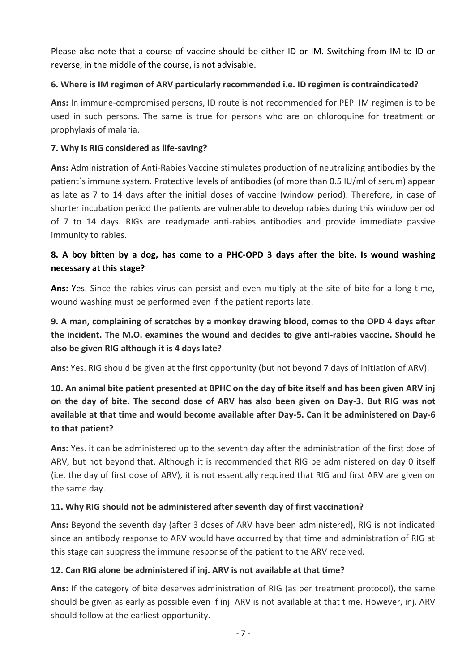Please also note that a course of vaccine should be either ID or IM. Switching from IM to ID or reverse, in the middle of the course, is not advisable.

## **6. Where is IM regimen of ARV particularly recommended i.e. ID regimen is contraindicated?**

**Ans:** In immune-compromised persons, ID route is not recommended for PEP. IM regimen is to be used in such persons. The same is true for persons who are on chloroquine for treatment or prophylaxis of malaria.

### **7. Why is RIG considered as life-saving?**

**Ans:** Administration of Anti-Rabies Vaccine stimulates production of neutralizing antibodies by the patient`s immune system. Protective levels of antibodies (of more than 0.5 IU/ml of serum) appear as late as 7 to 14 days after the initial doses of vaccine (window period). Therefore, in case of shorter incubation period the patients are vulnerable to develop rabies during this window period of 7 to 14 days. RIGs are readymade anti-rabies antibodies and provide immediate passive immunity to rabies.

# **8. A boy bitten by a dog, has come to a PHC-OPD 3 days after the bite. Is wound washing necessary at this stage?**

**Ans:** Yes. Since the rabies virus can persist and even multiply at the site of bite for a long time, wound washing must be performed even if the patient reports late.

# **9. A man, complaining of scratches by a monkey drawing blood, comes to the OPD 4 days after the incident. The M.O. examines the wound and decides to give anti-rabies vaccine. Should he also be given RIG although it is 4 days late?**

**Ans:** Yes. RIG should be given at the first opportunity (but not beyond 7 days of initiation of ARV).

# **10. An animal bite patient presented at BPHC on the day of bite itself and has been given ARV inj on the day of bite. The second dose of ARV has also been given on Day-3. But RIG was not available at that time and would become available after Day-5. Can it be administered on Day-6 to that patient?**

**Ans:** Yes. it can be administered up to the seventh day after the administration of the first dose of ARV, but not beyond that. Although it is recommended that RIG be administered on day 0 itself (i.e. the day of first dose of ARV), it is not essentially required that RIG and first ARV are given on the same day.

## **11. Why RIG should not be administered after seventh day of first vaccination?**

**Ans:** Beyond the seventh day (after 3 doses of ARV have been administered), RIG is not indicated since an antibody response to ARV would have occurred by that time and administration of RIG at this stage can suppress the immune response of the patient to the ARV received.

#### **12. Can RIG alone be administered if inj. ARV is not available at that time?**

**Ans:** If the category of bite deserves administration of RIG (as per treatment protocol), the same should be given as early as possible even if inj. ARV is not available at that time. However, inj. ARV should follow at the earliest opportunity.